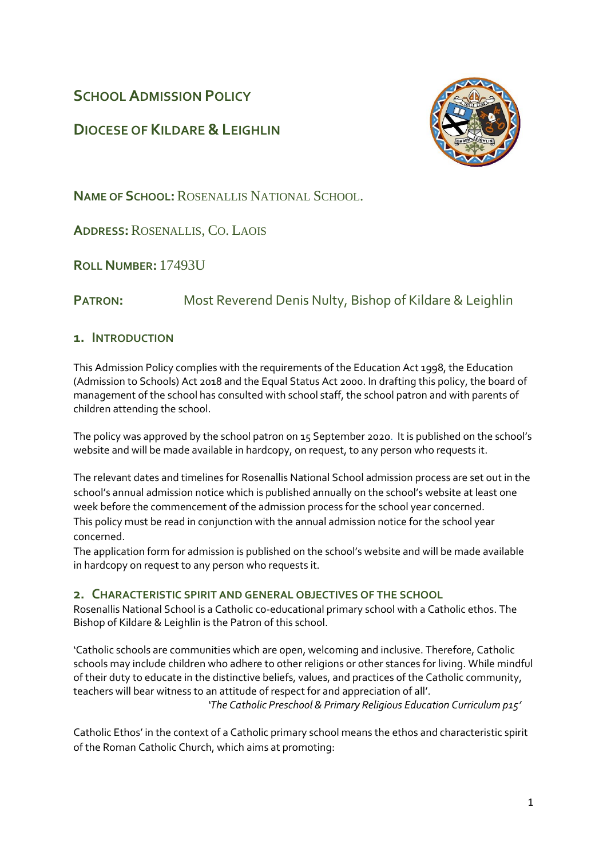# **SCHOOL ADMISSION POLICY**

# **DIOCESE OF KILDARE &LEIGHLIN**



**NAME OF SCHOOL:**ROSENALLIS NATIONAL SCHOOL.

**ADDRESS:**ROSENALLIS, CO. LAOIS

**ROLL NUMBER:** 17493U

**PATRON:** Most Reverend Denis Nulty, Bishop of Kildare & Leighlin

### **1. INTRODUCTION**

This Admission Policy complies with the requirements of the Education Act 1998, the Education (Admission to Schools) Act 2018 and the Equal Status Act 2000. In drafting this policy, the board of management of the school has consulted with school staff, the school patron and with parents of children attending the school.

The policy was approved by the school patron on 15 September 2020. It is published on the school's website and will be made available in hardcopy, on request, to any person who requests it.

The relevant dates and timelines for Rosenallis National School admission process are set out in the school's annual admission notice which is published annually on the school's website at least one week before the commencement of the admission process for the school year concerned. This policy must be read in conjunction with the annual admission notice for the school year concerned.

The application form for admission is published on the school's website and will be made available in hardcopy on request to any person who requests it.

### **2. CHARACTERISTIC SPIRIT AND GENERAL OBJECTIVES OF THE SCHOOL**

Rosenallis National School is a Catholic co-educational primary school with a Catholic ethos. The Bishop of Kildare & Leighlin is the Patron of this school.

'Catholic schools are communities which are open, welcoming and inclusive. Therefore, Catholic schools may include children who adhere to other religions or other stances for living. While mindful of their duty to educate in the distinctive beliefs, values, and practices of the Catholic community, teachers will bear witness to an attitude of respect for and appreciation of all'.

 *'The Catholic Preschool & Primary Religious Education Curriculum p15'*

Catholic Ethos' in the context of a Catholic primary school means the ethos and characteristic spirit of the Roman Catholic Church, which aims at promoting: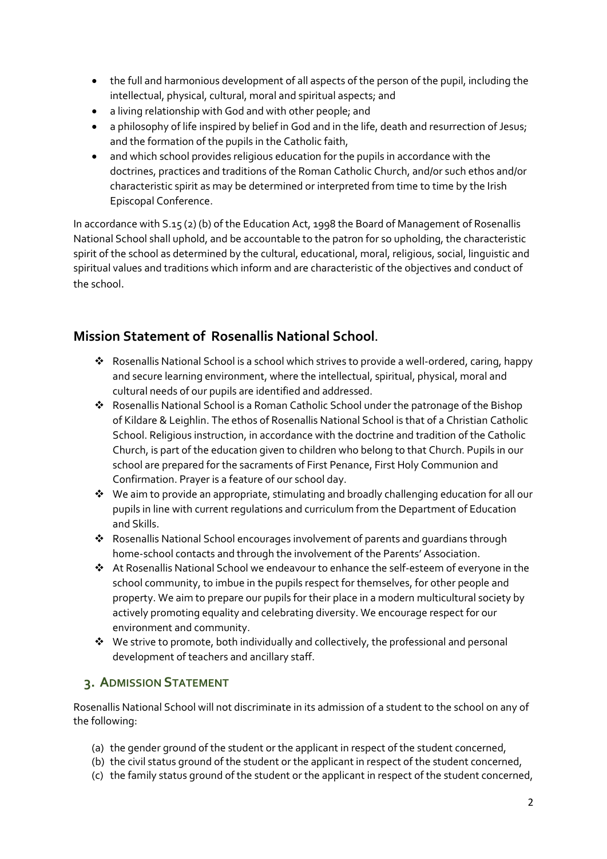- the full and harmonious development of all aspects of the person of the pupil, including the intellectual, physical, cultural, moral and spiritual aspects; and
- a living relationship with God and with other people; and
- a philosophy of life inspired by belief in God and in the life, death and resurrection of Jesus; and the formation of the pupils in the Catholic faith,
- and which school provides religious education for the pupils in accordance with the doctrines, practices and traditions of the Roman Catholic Church, and/or such ethos and/or characteristic spirit as may be determined or interpreted from time to time by the Irish Episcopal Conference.

In accordance with S.15 (2) (b) of the Education Act, 1998 the Board of Management of Rosenallis National School shall uphold, and be accountable to the patron for so upholding, the characteristic spirit of the school as determined by the cultural, educational, moral, religious, social, linguistic and spiritual values and traditions which inform and are characteristic of the objectives and conduct of the school.

# **Mission Statement of Rosenallis National School.**

- Rosenallis National School is a school which strives to provide a well-ordered, caring, happy and secure learning environment, where the intellectual, spiritual, physical, moral and cultural needs of our pupils are identified and addressed.
- Rosenallis National School is a Roman Catholic School under the patronage of the Bishop of Kildare & Leighlin. The ethos of Rosenallis National School is that of a Christian Catholic School. Religious instruction, in accordance with the doctrine and tradition of the Catholic Church, is part of the education given to children who belong to that Church. Pupils in our school are prepared for the sacraments of First Penance, First Holy Communion and Confirmation. Prayer is a feature of our school day.
- We aim to provide an appropriate, stimulating and broadly challenging education for all our pupils in line with current regulations and curriculum from the Department of Education and Skills.
- Rosenallis National School encourages involvement of parents and guardians through home-school contacts and through the involvement of the Parents' Association.
- At Rosenallis National School we endeavour to enhance the self-esteem of everyone in the school community, to imbue in the pupils respect for themselves, for other people and property. We aim to prepare our pupils for their place in a modern multicultural society by actively promoting equality and celebrating diversity. We encourage respect for our environment and community.
- $\cdot \cdot$  We strive to promote, both individually and collectively, the professional and personal development of teachers and ancillary staff.

## **3. ADMISSION STATEMENT**

Rosenallis National School will not discriminate in its admission of a student to the school on any of the following:

- (a) the gender ground of the student or the applicant in respect of the student concerned,
- (b) the civil status ground of the student or the applicant in respect of the student concerned,
- (c) the family status ground of the student or the applicant in respect of the student concerned,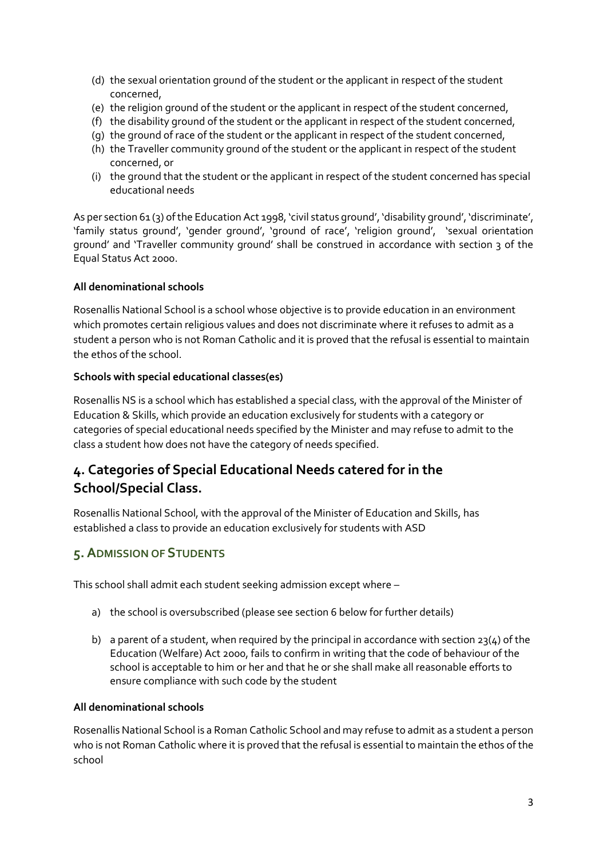- (d) the sexual orientation ground of the student or the applicant in respect of the student concerned,
- (e) the religion ground of the student or the applicant in respect of the student concerned,
- (f) the disability ground of the student or the applicant in respect of the student concerned,
- (g) the ground of race of the student or the applicant in respect of the student concerned,
- (h) the Traveller community ground of the student or the applicant in respect of the student concerned, or
- (i) the ground that the student or the applicant in respect of the student concerned has special educational needs

As per section 61 (3) of the Education Act 1998, 'civil status ground', 'disability ground', 'discriminate', 'family status ground', 'gender ground', 'ground of race', 'religion ground', 'sexual orientation ground' and 'Traveller community ground' shall be construed in accordance with section 3 of the Equal Status Act 2000.

#### **All denominational schools**

Rosenallis National School is a school whose objective is to provide education in an environment which promotes certain religious values and does not discriminate where it refuses to admit as a student a person who is not Roman Catholic and it is proved that the refusal is essential to maintain the ethos of the school.

#### **Schools with special educational classes(es)**

Rosenallis NS is a school which has established a special class, with the approval of the Minister of Education & Skills, which provide an education exclusively for students with a category or categories of special educational needs specified by the Minister and may refuse to admit to the class a student how does not have the category of needs specified.

# **4. Categories of Special Educational Needs catered for in the School/Special Class.**

Rosenallis National School, with the approval of the Minister of Education and Skills, has established a class to provide an education exclusively for students with ASD

## **5.ADMISSION OF STUDENTS**

This school shall admit each student seeking admission except where –

- a) the school is oversubscribed (please se[e section 6](#page-3-0) below for further details)
- b) a parent of a student, when required by the principal in accordance with section  $23(4)$  of the Education (Welfare) Act 2000, fails to confirm in writing that the code of behaviour of the school is acceptable to him or her and that he or she shall make all reasonable efforts to ensure compliance with such code by the student

#### **All denominational schools**

Rosenallis National School is a Roman Catholic School and may refuse to admit as a student a person who is not Roman Catholic where it is proved that the refusal is essential to maintain the ethos of the school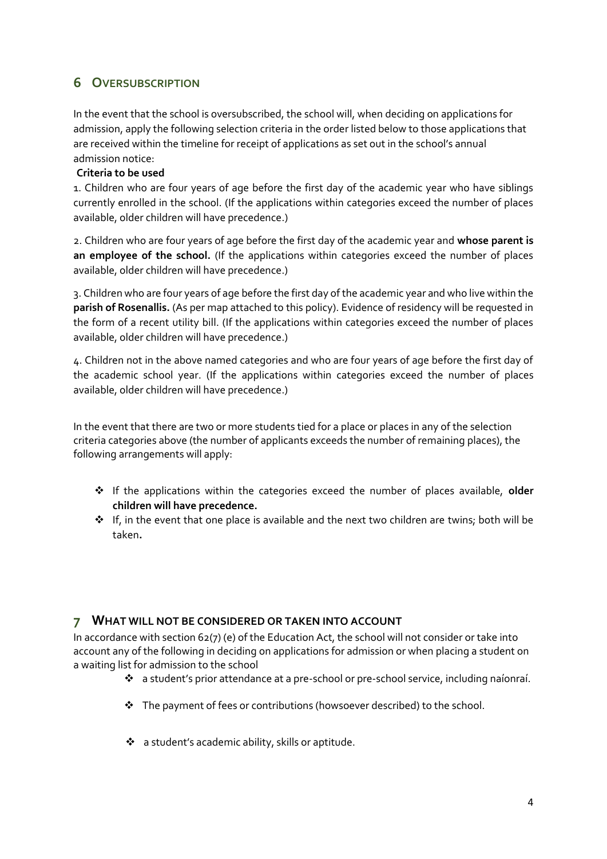# <span id="page-3-0"></span>**6 OVERSUBSCRIPTION**

In the event that the school is oversubscribed, the school will, when deciding on applications for admission, apply the following selection criteria in the order listed below to those applications that are received within the timeline for receipt of applications as set out in the school's annual admission notice:

### **Criteria to be used**

1. Children who are four years of age before the first day of the academic year who have siblings currently enrolled in the school. (If the applications within categories exceed the number of places available, older children will have precedence.)

2. Children who are four years of age before the first day of the academic year and **whose parent is an employee of the school.** (If the applications within categories exceed the number of places available, older children will have precedence.)

3. Children who are four years of age before the first day of the academic year and who live within the **parish of Rosenallis.** (As per map attached to this policy). Evidence of residency will be requested in the form of a recent utility bill. (If the applications within categories exceed the number of places available, older children will have precedence.)

4. Children not in the above named categories and who are four years of age before the first day of the academic school year. (If the applications within categories exceed the number of places available, older children will have precedence.)

In the event that there are two or more students tied for a place or places in any of the selection criteria categories above (the number of applicants exceeds the number of remaining places), the following arrangements will apply:

- If the applications within the categories exceed the number of places available, **older children will have precedence.**
- $\div$  If, in the event that one place is available and the next two children are twins; both will be taken**.**

### **7 WHAT WILL NOT BE CONSIDERED OR TAKEN INTO ACCOUNT**

In accordance with section 62(7) (e) of the Education Act, the school will not consider or take into account any of the following in deciding on applications for admission or when placing a student on a waiting list for admission to the school

- a student's prior attendance at a pre-school or pre-school service, including naíonraí.
- The payment of fees or contributions (howsoever described) to the school.
- a student's academic ability, skills or aptitude.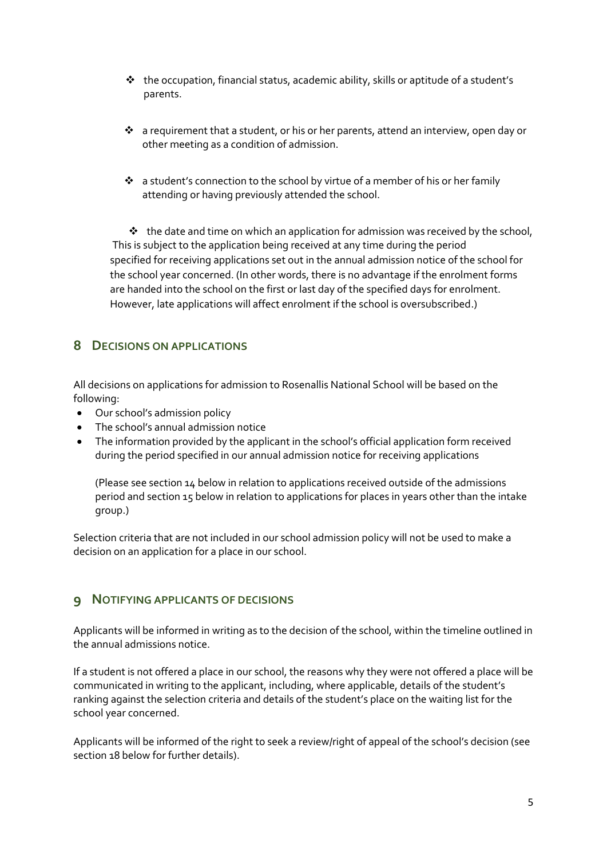- $\cdot \cdot$  the occupation, financial status, academic ability, skills or aptitude of a student's parents.
- a requirement that a student, or his or her parents, attend an interview, open day or other meeting as a condition of admission.
- \* a student's connection to the school by virtue of a member of his or her family attending or having previously attended the school.

 $\cdot \cdot$  the date and time on which an application for admission was received by the school, This is subject to the application being received at any time during the period specified for receiving applications set out in the annual admission notice of the school for the school year concerned. (In other words, there is no advantage if the enrolment forms are handed into the school on the first or last day of the specified days for enrolment. However, late applications will affect enrolment if the school is oversubscribed.)

## **8 DECISIONS ON APPLICATIONS**

All decisions on applications for admission to Rosenallis National School will be based on the following:

- Our school's admission policy
- The school's annual admission notice
- The information provided by the applicant in the school's official application form received during the period specified in our annual admission notice for receiving applications

(Please see section 14 below in relation to applications received outside of the admissions period and section 15 below in relation to applications for places in years other than the intake group.)

Selection criteria that are not included in our school admission policy will not be used to make a decision on an application for a place in our school.

## **9 NOTIFYING APPLICANTS OF DECISIONS**

Applicants will be informed in writing as to the decision of the school, within the timeline outlined in the annual admissions notice.

If a student is not offered a place in our school, the reasons why they were not offered a place will be communicated in writing to the applicant, including, where applicable, details of the student's ranking against the selection criteria and details of the student's place on the waiting list for the school year concerned.

Applicants will be informed of the right to seek a review/right of appeal of the school's decision (see section 18 below for further details).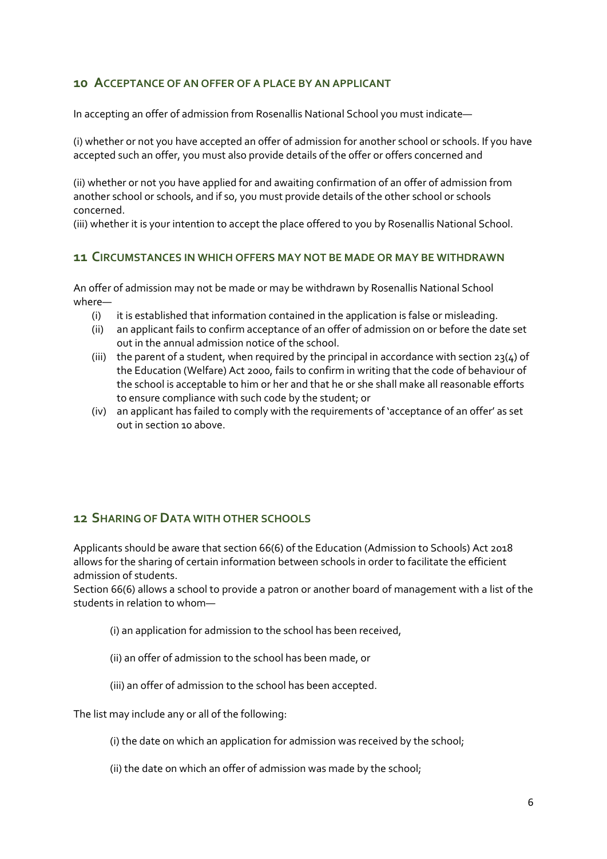### <span id="page-5-0"></span>**10 ACCEPTANCE OF AN OFFER OF A PLACE BY AN APPLICANT**

In accepting an offer of admission from Rosenallis National School you must indicate—

(i) whether or not you have accepted an offer of admission for another school or schools. If you have accepted such an offer, you must also provide details of the offer or offers concerned and

(ii) whether or not you have applied for and awaiting confirmation of an offer of admission from another school or schools, and if so, you must provide details of the other school or schools concerned.

(iii) whether it is your intention to accept the place offered to you by Rosenallis National School.

#### **11 CIRCUMSTANCES IN WHICH OFFERS MAY NOT BE MADE OR MAY BE WITHDRAWN**

An offer of admission may not be made or may be withdrawn by Rosenallis National School where—

- (i) it is established that information contained in the application is false or misleading.
- (ii) an applicant fails to confirm acceptance of an offer of admission on or before the date set out in the annual admission notice of the school.
- (iii) the parent of a student, when required by the principal in accordance with section  $23(4)$  of the Education (Welfare) Act 2000, fails to confirm in writing that the code of behaviour of the school is acceptable to him or her and that he or she shall make all reasonable efforts to ensure compliance with such code by the student; or
- (iv) an applicant has failed to comply with the requirements of 'acceptance of an offer' as set out i[n section 10](#page-5-0) above.

### **12 SHARING OF DATA WITH OTHER SCHOOLS**

Applicants should be aware that section 66(6) of the Education (Admission to Schools) Act 2018 allows for the sharing of certain information between schools in order to facilitate the efficient admission of students.

Section 66(6) allows a school to provide a patron or another board of management with a list of the students in relation to whom—

- (i) an application for admission to the school has been received,
- (ii) an offer of admission to the school has been made, or
- (iii) an offer of admission to the school has been accepted.

The list may include any or all of the following:

- (i) the date on which an application for admission was received by the school;
- (ii) the date on which an offer of admission was made by the school;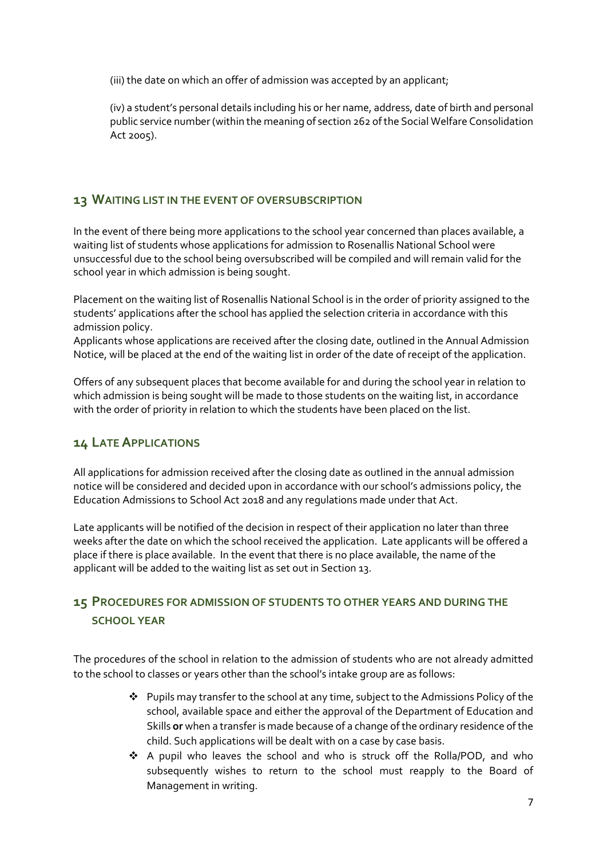(iii) the date on which an offer of admission was accepted by an applicant;

(iv) a student's personal details including his or her name, address, date of birth and personal public service number (within the meaning of section 262 of the Social Welfare Consolidation Act 2005).

## **13 WAITING LIST IN THE EVENT OF OVERSUBSCRIPTION**

In the event of there being more applications to the school year concerned than places available, a waiting list of students whose applications for admission to Rosenallis National School were unsuccessful due to the school being oversubscribed will be compiled and will remain valid for the school year in which admission is being sought.

Placement on the waiting list of Rosenallis National School is in the order of priority assigned to the students' applications after the school has applied the selection criteria in accordance with this admission policy.

Applicants whose applications are received after the closing date, outlined in the Annual Admission Notice, will be placed at the end of the waiting list in order of the date of receipt of the application.

Offers of any subsequent places that become available for and during the school year in relation to which admission is being sought will be made to those students on the waiting list, in accordance with the order of priority in relation to which the students have been placed on the list.

## **14 LATE APPLICATIONS**

All applications for admission received after the closing date as outlined in the annual admission notice will be considered and decided upon in accordance with our school's admissions policy, the Education Admissions to School Act 2018 and any regulations made under that Act.

Late applicants will be notified of the decision in respect of their application no later than three weeks after the date on which the school received the application. Late applicants will be offered a place if there is place available. In the event that there is no place available, the name of the applicant will be added to the waiting list as set out in Section 13.

# **15 PROCEDURES FOR ADMISSION OF STUDENTS TO OTHER YEARS AND DURING THE SCHOOL YEAR**

The procedures of the school in relation to the admission of students who are not already admitted to the school to classes or years other than the school's intake group are as follows:

- Pupils may transfer to the school at any time, subject to the Admissions Policy of the school, available space and either the approval of the Department of Education and Skills **or** when a transfer is made because of a change of the ordinary residence of the child. Such applications will be dealt with on a case by case basis.
- A pupil who leaves the school and who is struck off the Rolla/POD, and who subsequently wishes to return to the school must reapply to the Board of Management in writing.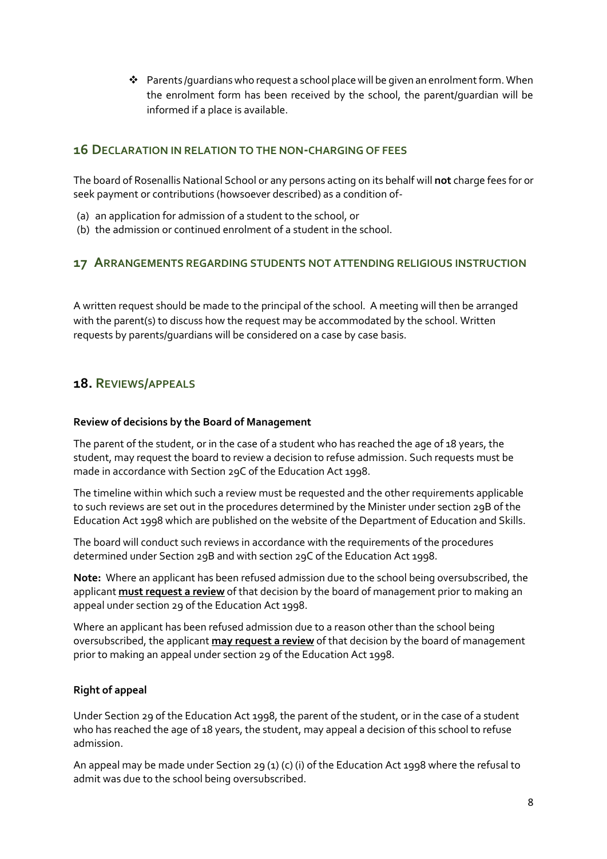$\clubsuit$  Parents /quardians who request a school place will be given an enrolment form. When the enrolment form has been received by the school, the parent/guardian will be informed if a place is available.

### **16 DECLARATION IN RELATION TO THE NON-CHARGING OF FEES**

The board of Rosenallis National School or any persons acting on its behalf will **not** charge fees for or seek payment or contributions (howsoever described) as a condition of-

- (a) an application for admission of a student to the school, or
- (b) the admission or continued enrolment of a student in the school.

### **17 ARRANGEMENTS REGARDING STUDENTS NOT ATTENDING RELIGIOUS INSTRUCTION**

A written request should be made to the principal of the school. A meeting will then be arranged with the parent(s) to discuss how the request may be accommodated by the school. Written requests by parents/guardians will be considered on a case by case basis.

### **18. REVIEWS/APPEALS**

#### **Review of decisions by the Board of Management**

The parent of the student, or in the case of a student who has reached the age of 18 years, the student, may request the board to review a decision to refuse admission. Such requests must be made in accordance with Section 29C of the Education Act 1998.

The timeline within which such a review must be requested and the other requirements applicable to such reviews are set out in the procedures determined by the Minister under section 29B of the Education Act 1998 which are published on the website of the Department of Education and Skills.

The board will conduct such reviews in accordance with the requirements of the procedures determined under Section 29B and with section 29C of the Education Act 1998.

**Note:** Where an applicant has been refused admission due to the school being oversubscribed, the applicant **must request a review** of that decision by the board of management prior to making an appeal under section 29 of the Education Act 1998.

Where an applicant has been refused admission due to a reason other than the school being oversubscribed, the applicant **may request a review** of that decision by the board of management prior to making an appeal under section 29 of the Education Act 1998.

#### **Right of appeal**

Under Section 29 of the Education Act 1998, the parent of the student, or in the case of a student who has reached the age of 18 years, the student, may appeal a decision of this school to refuse admission.

An appeal may be made under Section 29 (1) (c) (i) of the Education Act 1998 where the refusal to admit was due to the school being oversubscribed.